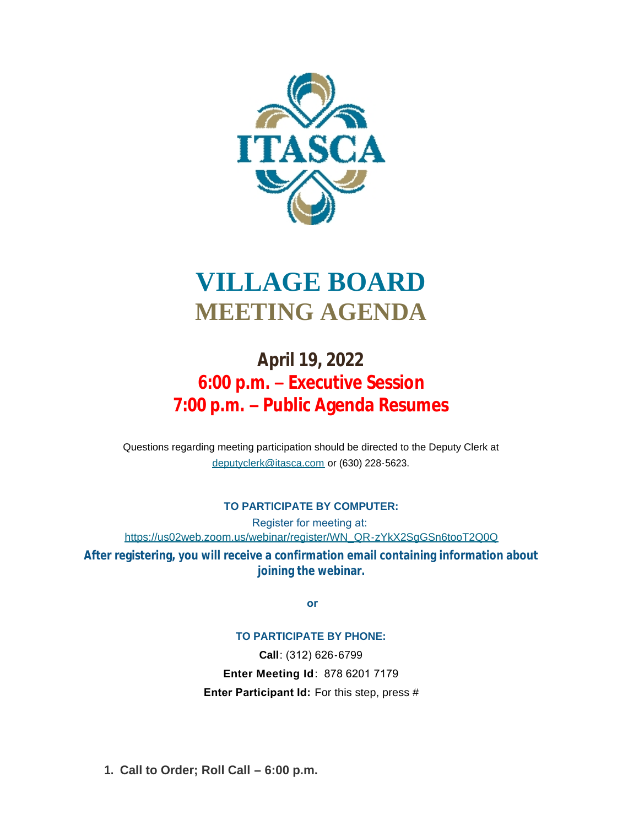

# **VILLAGE BOARD MEETING AGENDA**

# **April 19, 2022 6:00 p.m. – Executive Session 7:00 p.m. – Public Agenda Resumes**

[Questions regarding meeting participation sho](mailto:deputyclerk@itasca.com)uld be directed to the Deputy Clerk at deputyclerk@itasca.com or (630) 228-5623.

### **TO PARTICIPATE BY COMPUTER:**

Register for meeting at: [https://us02web.zoom.us/webinar/register/WN\\_QR-zYkX2SgGSn6tooT2Q0Q](https://us02web.zoom.us/webinar/register/WN_QR-zYkX2SgGSn6tooT2Q0Q)

**After registering, you will receive a confirmation email containing information about joining the webinar.**

 **or**

### **TO PARTICIPATE BY PHONE:**

**Call**: (312) 626-6799 **Enter Meeting Id**: 878 6201 7179 **Enter Participant Id:** For this step, press #

**Call to Order; Roll Call – 6:00 p.m. 1.**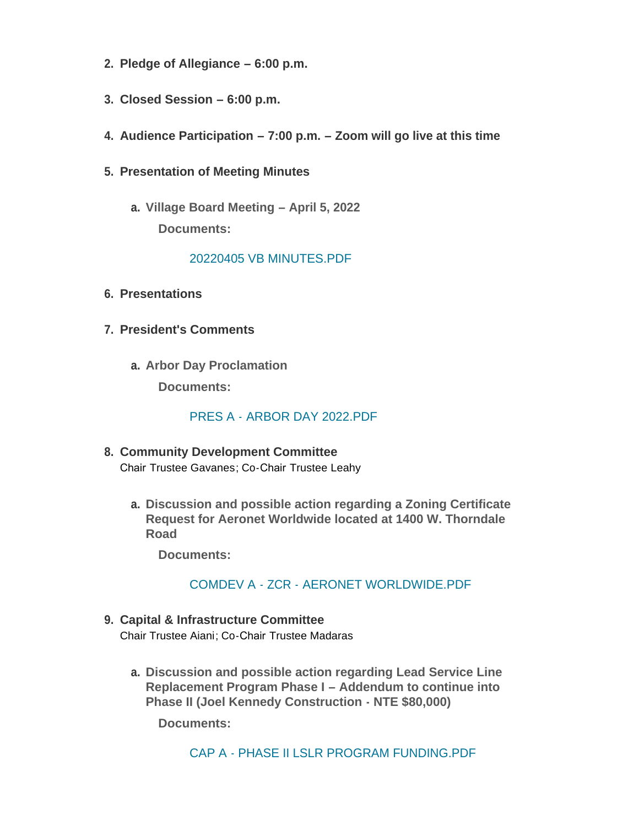- **Pledge of Allegiance – 6:00 p.m. 2.**
- **Closed Session – 6:00 p.m. 3.**
- **Audience Participation – 7:00 p.m. – Zoom will go live at this time 4.**
- **Presentation of Meeting Minutes 5.**
	- **Village Board Meeting – April 5, 2022 a. Documents:**

## [20220405 VB MINUTES.PDF](http://www.itasca.com/AgendaCenter/ViewFile/Item/7596?fileID=9458)

- **Presentations 6.**
- **President's Comments 7.**
	- **Arbor Day Proclamation a. Documents:**

[PRES A - ARBOR DAY 2022.PDF](http://www.itasca.com/AgendaCenter/ViewFile/Item/7642?fileID=9474)

- **Community Development Committee 8.** Chair Trustee Gavanes; Co-Chair Trustee Leahy
	- **Discussion and possible action regarding a Zoning Certificate a. Request for Aeronet Worldwide located at 1400 W. Thorndale Road**

**Documents:**

# [COMDEV A - ZCR - AERONET WORLDWIDE.PDF](http://www.itasca.com/AgendaCenter/ViewFile/Item/7597?fileID=9459)

- **Capital & Infrastructure Committee 9.** Chair Trustee Aiani; Co-Chair Trustee Madaras
	- **Discussion and possible action regarding Lead Service Line a. Replacement Program Phase I – Addendum to continue into Phase II (Joel Kennedy Construction - NTE \$80,000)**

**Documents:**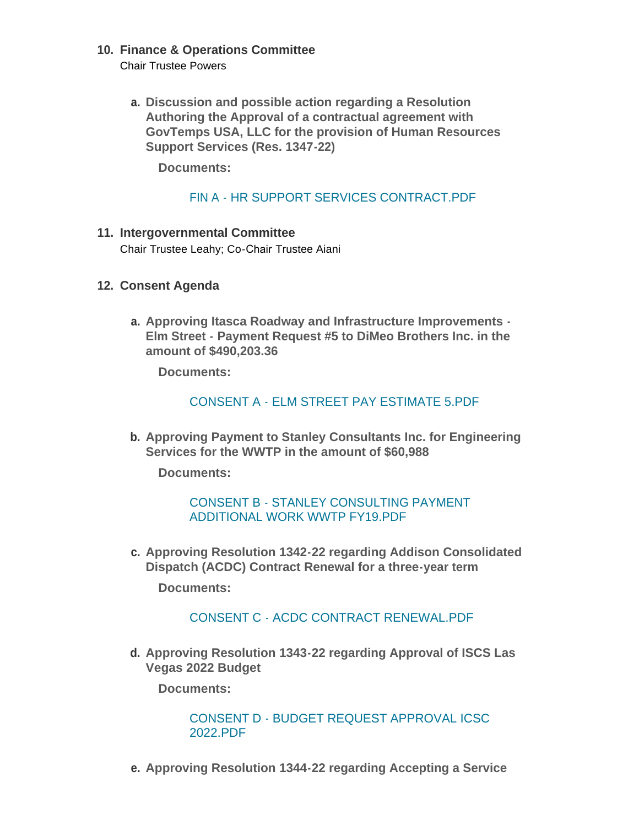# **Finance & Operations Committee 10.**

Chair Trustee Powers

**Discussion and possible action regarding a Resolution a. Authoring the Approval of a contractual agreement with GovTemps USA, LLC for the provision of Human Resources Support Services (Res. 1347-22)**

**Documents:**

# [FIN A - HR SUPPORT SERVICES CONTRACT.PDF](http://www.itasca.com/AgendaCenter/ViewFile/Item/7599?fileID=9461)

#### **Intergovernmental Committee 11.** Chair Trustee Leahy; Co-Chair Trustee Aiani

- **Consent Agenda 12.**
	- **Approving Itasca Roadway and Infrastructure Improvements - a. Elm Street - Payment Request #5 to DiMeo Brothers Inc. in the amount of \$490,203.36**

**Documents:**

## [CONSENT A - ELM STREET PAY ESTIMATE 5.PDF](http://www.itasca.com/AgendaCenter/ViewFile/Item/7600?fileID=9462)

**Approving Payment to Stanley Consultants Inc. for Engineering b. Services for the WWTP in the amount of \$60,988**

**Documents:**

### CONSENT B - STANLEY CONSULTING PAYMENT [ADDITIONAL WORK WWTP FY19.PDF](http://www.itasca.com/AgendaCenter/ViewFile/Item/7601?fileID=9463)

**Approving Resolution 1342-22 regarding Addison Consolidated c. Dispatch (ACDC) Contract Renewal for a three-year term**

**Documents:**

### CONSENT C - [ACDC CONTRACT RENEWAL.PDF](http://www.itasca.com/AgendaCenter/ViewFile/Item/7602?fileID=9464)

**Approving Resolution 1343-22 regarding Approval of ISCS Las d. Vegas 2022 Budget**

**Documents:**

CONSENT D - [BUDGET REQUEST APPROVAL ICSC](http://www.itasca.com/AgendaCenter/ViewFile/Item/7603?fileID=9465)  2022.PDF

**Approving Resolution 1344-22 regarding Accepting a Service e.**